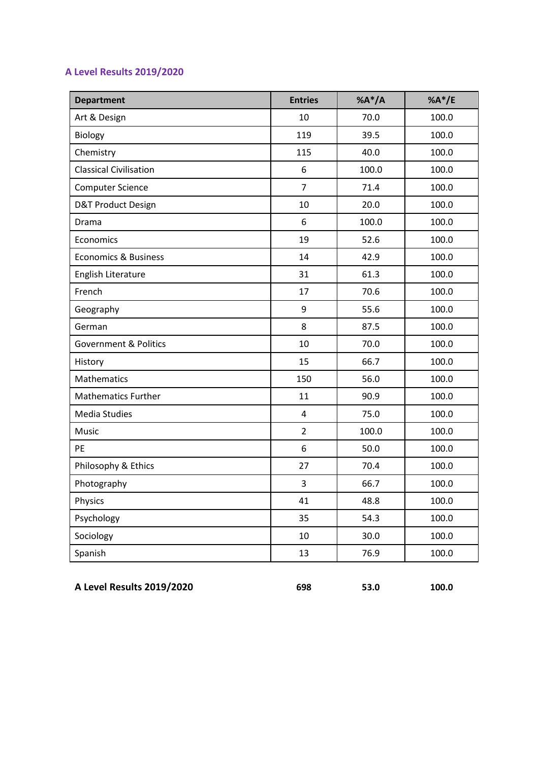## **A Level Results 2019/2020**

| <b>Department</b>                | <b>Entries</b>          | $%A^*/A$ | % $A^*/E$ |
|----------------------------------|-------------------------|----------|-----------|
| Art & Design                     | 10                      | 70.0     | 100.0     |
| Biology                          | 119                     | 39.5     | 100.0     |
| Chemistry                        | 115                     | 40.0     | 100.0     |
| <b>Classical Civilisation</b>    | 6                       | 100.0    | 100.0     |
| <b>Computer Science</b>          | $\overline{7}$          | 71.4     | 100.0     |
| D&T Product Design               | 10                      | 20.0     | 100.0     |
| Drama                            | 6                       | 100.0    | 100.0     |
| Economics                        | 19                      | 52.6     | 100.0     |
| <b>Economics &amp; Business</b>  | 14                      | 42.9     | 100.0     |
| English Literature               | 31                      | 61.3     | 100.0     |
| French                           | 17                      | 70.6     | 100.0     |
| Geography                        | 9                       | 55.6     | 100.0     |
| German                           | 8                       | 87.5     | 100.0     |
| <b>Government &amp; Politics</b> | 10                      | 70.0     | 100.0     |
| History                          | 15                      | 66.7     | 100.0     |
| Mathematics                      | 150                     | 56.0     | 100.0     |
| Mathematics Further              | 11                      | 90.9     | 100.0     |
| <b>Media Studies</b>             | $\overline{\mathbf{4}}$ | 75.0     | 100.0     |
| Music                            | $\overline{2}$          | 100.0    | 100.0     |
| <b>PE</b>                        | 6                       | 50.0     | 100.0     |
| Philosophy & Ethics              | 27                      | 70.4     | 100.0     |
| Photography                      | 3                       | 66.7     | 100.0     |
| Physics                          | 41                      | 48.8     | 100.0     |
| Psychology                       | 35                      | 54.3     | 100.0     |
| Sociology                        | 10                      | 30.0     | 100.0     |
| Spanish                          | 13                      | 76.9     | 100.0     |

**A Level Results 2019/2020 698 53.0 100.0**